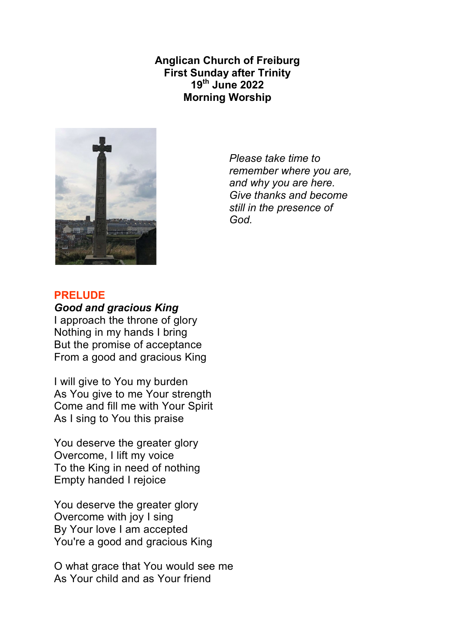Anglican Church of Freiburg First Sunday after Trinity 19th June 2022 Morning Worship



Please take time to remember where you are, and why you are here. Give thanks and become still in the presence of God.

#### PRELUDE

Good and gracious King I approach the throne of glory Nothing in my hands I bring But the promise of acceptance From a good and gracious King

I will give to You my burden As You give to me Your strength Come and fill me with Your Spirit As I sing to You this praise

You deserve the greater glory Overcome, I lift my voice To the King in need of nothing Empty handed I rejoice

You deserve the greater glory Overcome with joy I sing By Your love I am accepted You're a good and gracious King

O what grace that You would see me As Your child and as Your friend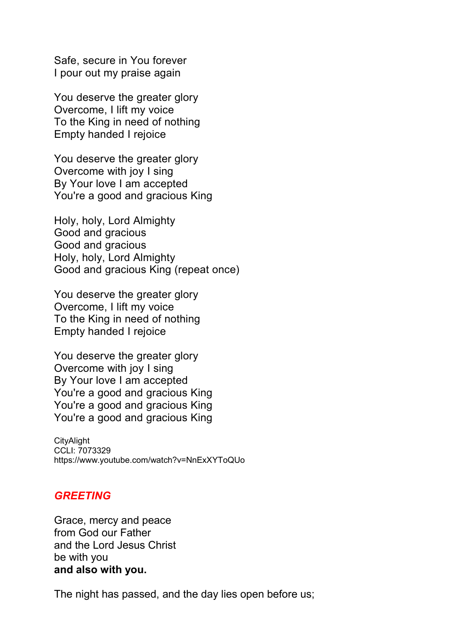Safe, secure in You forever I pour out my praise again

You deserve the greater glory Overcome, I lift my voice To the King in need of nothing Empty handed I rejoice

You deserve the greater glory Overcome with joy I sing By Your love I am accepted You're a good and gracious King

Holy, holy, Lord Almighty Good and gracious Good and gracious Holy, holy, Lord Almighty Good and gracious King (repeat once)

You deserve the greater glory Overcome, I lift my voice To the King in need of nothing Empty handed I rejoice

You deserve the greater glory Overcome with joy I sing By Your love I am accepted You're a good and gracious King You're a good and gracious King You're a good and gracious King

CityAlight CCLI: 7073329 https://www.youtube.com/watch?v=NnExXYToQUo

### **GREETING**

Grace, mercy and peace from God our Father and the Lord Jesus Christ be with you and also with you.

The night has passed, and the day lies open before us;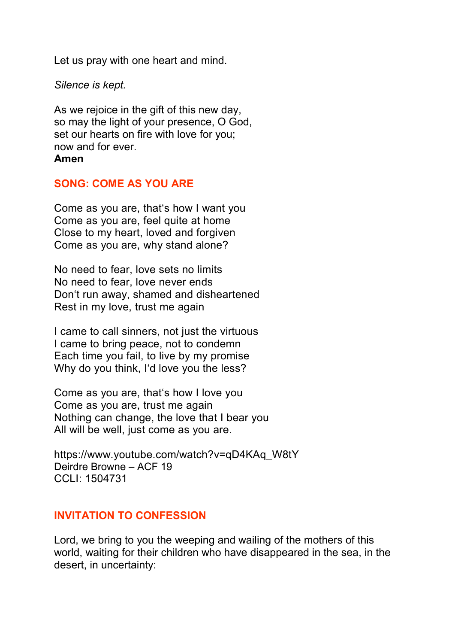Let us pray with one heart and mind.

Silence is kept.

As we rejoice in the gift of this new day, so may the light of your presence, O God, set our hearts on fire with love for you; now and for ever. Amen

## SONG: COME AS YOU ARE

Come as you are, that's how I want you Come as you are, feel quite at home Close to my heart, loved and forgiven Come as you are, why stand alone?

No need to fear, love sets no limits No need to fear, love never ends Don't run away, shamed and disheartened Rest in my love, trust me again

I came to call sinners, not just the virtuous I came to bring peace, not to condemn Each time you fail, to live by my promise Why do you think, I'd love you the less?

Come as you are, that's how I love you Come as you are, trust me again Nothing can change, the love that I bear you All will be well, just come as you are.

https://www.youtube.com/watch?v=qD4KAq\_W8tY Deirdre Browne – ACF 19 CCLI: 1504731

## INVITATION TO CONFESSION

Lord, we bring to you the weeping and wailing of the mothers of this world, waiting for their children who have disappeared in the sea, in the desert, in uncertainty: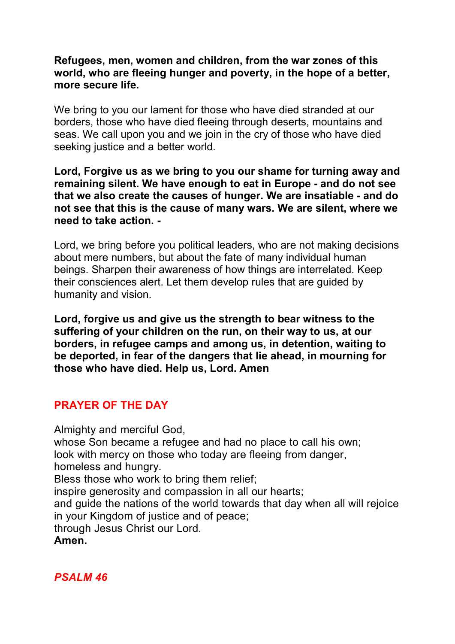## Refugees, men, women and children, from the war zones of this world, who are fleeing hunger and poverty, in the hope of a better, more secure life.

We bring to you our lament for those who have died stranded at our borders, those who have died fleeing through deserts, mountains and seas. We call upon you and we join in the cry of those who have died seeking justice and a better world.

Lord, Forgive us as we bring to you our shame for turning away and remaining silent. We have enough to eat in Europe - and do not see that we also create the causes of hunger. We are insatiable - and do not see that this is the cause of many wars. We are silent, where we need to take action. -

Lord, we bring before you political leaders, who are not making decisions about mere numbers, but about the fate of many individual human beings. Sharpen their awareness of how things are interrelated. Keep their consciences alert. Let them develop rules that are guided by humanity and vision.

Lord, forgive us and give us the strength to bear witness to the suffering of your children on the run, on their way to us, at our borders, in refugee camps and among us, in detention, waiting to be deported, in fear of the dangers that lie ahead, in mourning for those who have died. Help us, Lord. Amen

# PRAYER OF THE DAY

Almighty and merciful God, whose Son became a refugee and had no place to call his own; look with mercy on those who today are fleeing from danger, homeless and hungry. Bless those who work to bring them relief; inspire generosity and compassion in all our hearts; and guide the nations of the world towards that day when all will rejoice in your Kingdom of justice and of peace; through Jesus Christ our Lord. Amen.

### PSALM 46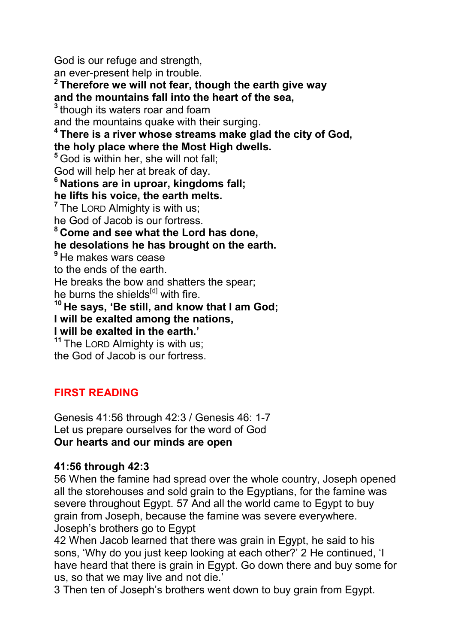God is our refuge and strength, an ever-present help in trouble.  $2$  Therefore we will not fear, though the earth give way and the mountains fall into the heart of the sea, <sup>3</sup> though its waters roar and foam and the mountains quake with their surging. <sup>4</sup> There is a river whose streams make glad the city of God, the holy place where the Most High dwells. <sup>5</sup> God is within her, she will not fall; God will help her at break of day. <sup>6</sup> Nations are in uproar, kingdoms fall; he lifts his voice, the earth melts.  $<sup>7</sup>$  The LORD Almighty is with us;</sup> he God of Jacob is our fortress.  $8$  Come and see what the Lord has done, he desolations he has brought on the earth. <sup>9</sup>He makes wars cease to the ends of the earth. He breaks the bow and shatters the spear; he burns the shields<sup>[d]</sup> with fire.  $10$  He says, 'Be still, and know that I am God; I will be exalted among the nations, I will be exalted in the earth.' <sup>11</sup> The LORD Almighty is with us; the God of Jacob is our fortress.

# FIRST READING

Genesis 41:56 through 42:3 / Genesis 46: 1-7 Let us prepare ourselves for the word of God Our hearts and our minds are open

# 41:56 through 42:3

56 When the famine had spread over the whole country, Joseph opened all the storehouses and sold grain to the Egyptians, for the famine was severe throughout Egypt. 57 And all the world came to Egypt to buy grain from Joseph, because the famine was severe everywhere. Joseph's brothers go to Egypt

42 When Jacob learned that there was grain in Egypt, he said to his sons, 'Why do you just keep looking at each other?' 2 He continued, 'I have heard that there is grain in Egypt. Go down there and buy some for us, so that we may live and not die.'

3 Then ten of Joseph's brothers went down to buy grain from Egypt.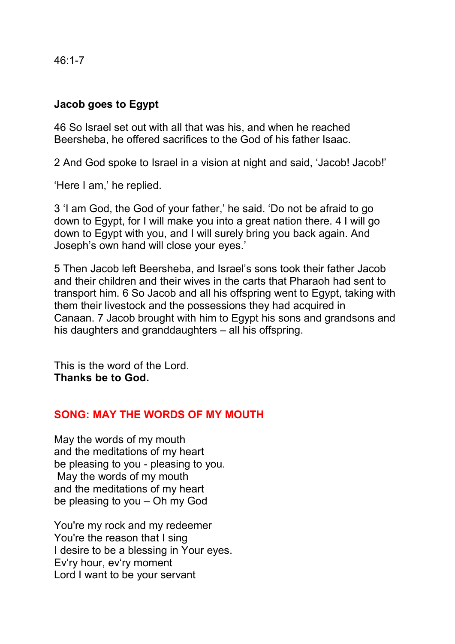46:1-7

## Jacob goes to Egypt

46 So Israel set out with all that was his, and when he reached Beersheba, he offered sacrifices to the God of his father Isaac.

2 And God spoke to Israel in a vision at night and said, 'Jacob! Jacob!'

'Here I am,' he replied.

3 'I am God, the God of your father,' he said. 'Do not be afraid to go down to Egypt, for I will make you into a great nation there. 4 I will go down to Egypt with you, and I will surely bring you back again. And Joseph's own hand will close your eyes.'

5 Then Jacob left Beersheba, and Israel's sons took their father Jacob and their children and their wives in the carts that Pharaoh had sent to transport him. 6 So Jacob and all his offspring went to Egypt, taking with them their livestock and the possessions they had acquired in Canaan. 7 Jacob brought with him to Egypt his sons and grandsons and his daughters and granddaughters – all his offspring.

This is the word of the Lord. Thanks be to God.

### SONG: MAY THE WORDS OF MY MOUTH

May the words of my mouth and the meditations of my heart be pleasing to you - pleasing to you. May the words of my mouth and the meditations of my heart be pleasing to you – Oh my God

You're my rock and my redeemer You're the reason that I sing I desire to be a blessing in Your eyes. Ev'ry hour, ev'ry moment Lord I want to be your servant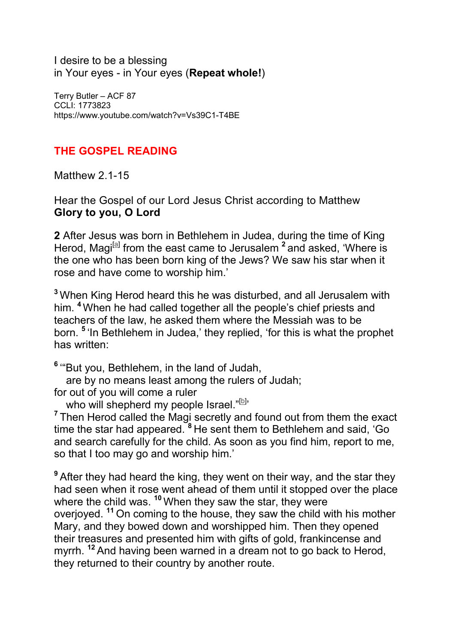I desire to be a blessing in Your eyes - in Your eyes (Repeat whole!)

Terry Butler – ACF 87 CCLI: 1773823 https://www.youtube.com/watch?v=Vs39C1-T4BE

# THE GOSPEL READING

Matthew 2.1-15

Hear the Gospel of our Lord Jesus Christ according to Matthew Glory to you, O Lord

2 After Jesus was born in Bethlehem in Judea, during the time of King Herod, Magi<sup>[a]</sup> from the east came to Jerusalem <sup>2</sup> and asked, 'Where is the one who has been born king of the Jews? We saw his star when it rose and have come to worship him.'

<sup>3</sup> When King Herod heard this he was disturbed, and all Jerusalem with him. <sup>4</sup> When he had called together all the people's chief priests and teachers of the law, he asked them where the Messiah was to be born. <sup>5</sup> 'In Bethlehem in Judea,' they replied, 'for this is what the prophet has written:

<sup>6</sup>'"But you, Bethlehem, in the land of Judah,

are by no means least among the rulers of Judah;

for out of you will come a ruler

who will shepherd my people Israel."<sup>[b]</sup>

 $<sup>7</sup>$  Then Herod called the Magi secretly and found out from them the exact</sup> time the star had appeared.<sup>8</sup> He sent them to Bethlehem and said, 'Go and search carefully for the child. As soon as you find him, report to me, so that I too may go and worship him.'

<sup>9</sup> After they had heard the king, they went on their way, and the star they had seen when it rose went ahead of them until it stopped over the place where the child was.  $10$  When they saw the star, they were overjoyed.<sup>11</sup> On coming to the house, they saw the child with his mother Mary, and they bowed down and worshipped him. Then they opened their treasures and presented him with gifts of gold, frankincense and myrrh. <sup>12</sup> And having been warned in a dream not to go back to Herod, they returned to their country by another route.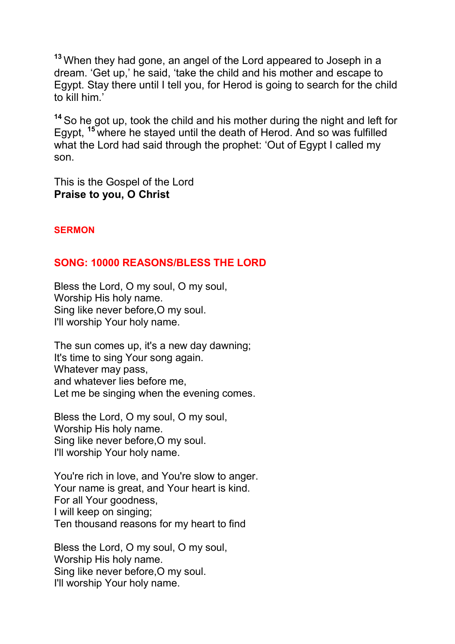<sup>13</sup> When they had gone, an angel of the Lord appeared to Joseph in a dream. 'Get up,' he said, 'take the child and his mother and escape to Egypt. Stay there until I tell you, for Herod is going to search for the child to kill him.'

<sup>14</sup> So he got up, took the child and his mother during the night and left for Egypt, <sup>15</sup> where he stayed until the death of Herod. And so was fulfilled what the Lord had said through the prophet: 'Out of Egypt I called my son.

This is the Gospel of the Lord Praise to you, O Christ

#### **SERMON**

#### SONG: 10000 REASONS/BLESS THE LORD

Bless the Lord, O my soul, O my soul, Worship His holy name. Sing like never before,O my soul. I'll worship Your holy name.

The sun comes up, it's a new day dawning; It's time to sing Your song again. Whatever may pass, and whatever lies before me, Let me be singing when the evening comes.

Bless the Lord, O my soul, O my soul, Worship His holy name. Sing like never before,O my soul. I'll worship Your holy name.

You're rich in love, and You're slow to anger. Your name is great, and Your heart is kind. For all Your goodness, I will keep on singing; Ten thousand reasons for my heart to find

Bless the Lord, O my soul, O my soul, Worship His holy name. Sing like never before,O my soul. I'll worship Your holy name.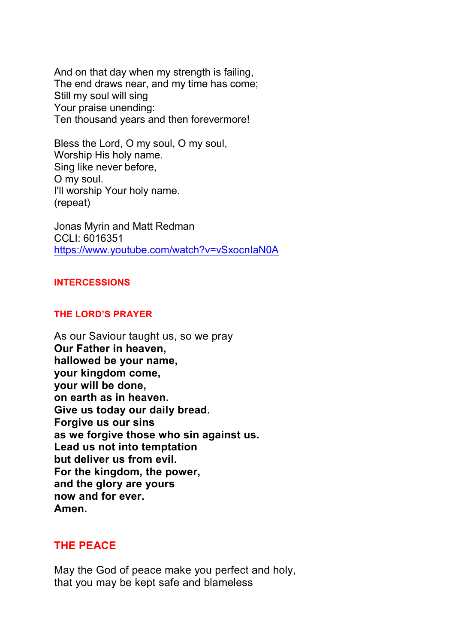And on that day when my strength is failing, The end draws near, and my time has come; Still my soul will sing Your praise unending: Ten thousand years and then forevermore!

Bless the Lord, O my soul, O my soul, Worship His holy name. Sing like never before, O my soul. I'll worship Your holy name. (repeat)

Jonas Myrin and Matt Redman CCLI: 6016351 https://www.youtube.com/watch?v=vSxocnIaN0A

#### INTERCESSIONS

#### THE LORD'S PRAYER

As our Saviour taught us, so we pray Our Father in heaven, hallowed be your name, your kingdom come, your will be done, on earth as in heaven. Give us today our daily bread. Forgive us our sins as we forgive those who sin against us. Lead us not into temptation but deliver us from evil. For the kingdom, the power, and the glory are yours now and for ever. Amen.

#### THE PEACE

May the God of peace make you perfect and holy, that you may be kept safe and blameless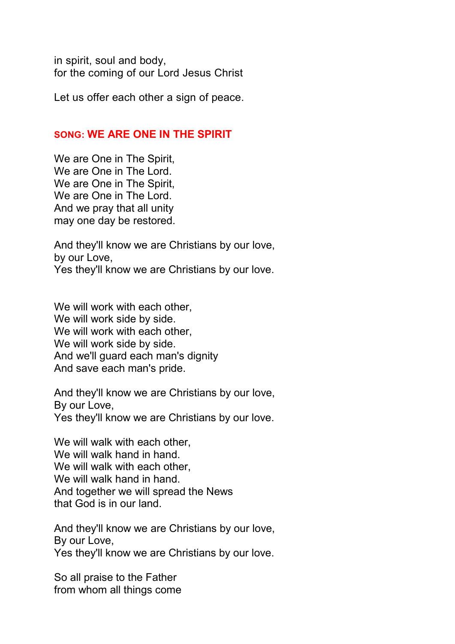in spirit, soul and body, for the coming of our Lord Jesus Christ

Let us offer each other a sign of peace.

### SONG: WE ARE ONE IN THE SPIRIT

We are One in The Spirit, We are One in The Lord. We are One in The Spirit. We are One in The Lord. And we pray that all unity may one day be restored.

And they'll know we are Christians by our love, by our Love, Yes they'll know we are Christians by our love.

We will work with each other, We will work side by side. We will work with each other. We will work side by side. And we'll guard each man's dignity And save each man's pride.

And they'll know we are Christians by our love, By our Love, Yes they'll know we are Christians by our love.

We will walk with each other. We will walk hand in hand. We will walk with each other. We will walk hand in hand. And together we will spread the News that God is in our land.

And they'll know we are Christians by our love, By our Love, Yes they'll know we are Christians by our love.

So all praise to the Father from whom all things come